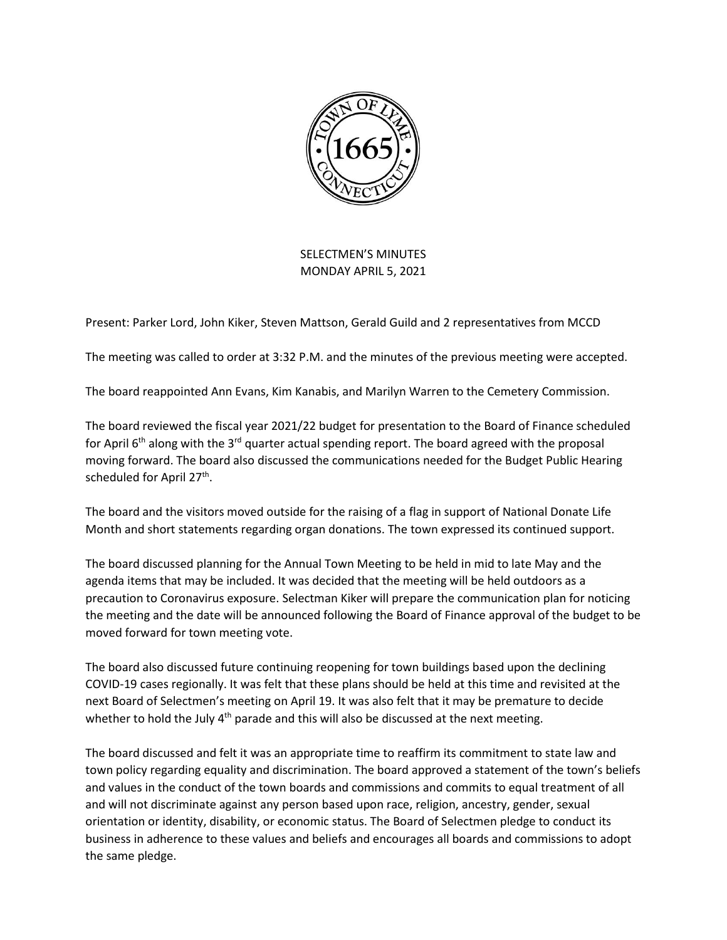

SELECTMEN'S MINUTES MONDAY APRIL 5, 2021

Present: Parker Lord, John Kiker, Steven Mattson, Gerald Guild and 2 representatives from MCCD

The meeting was called to order at 3:32 P.M. and the minutes of the previous meeting were accepted.

The board reappointed Ann Evans, Kim Kanabis, and Marilyn Warren to the Cemetery Commission.

The board reviewed the fiscal year 2021/22 budget for presentation to the Board of Finance scheduled for April  $6<sup>th</sup>$  along with the 3<sup>rd</sup> quarter actual spending report. The board agreed with the proposal moving forward. The board also discussed the communications needed for the Budget Public Hearing scheduled for April 27<sup>th</sup>.

The board and the visitors moved outside for the raising of a flag in support of National Donate Life Month and short statements regarding organ donations. The town expressed its continued support.

The board discussed planning for the Annual Town Meeting to be held in mid to late May and the agenda items that may be included. It was decided that the meeting will be held outdoors as a precaution to Coronavirus exposure. Selectman Kiker will prepare the communication plan for noticing the meeting and the date will be announced following the Board of Finance approval of the budget to be moved forward for town meeting vote.

The board also discussed future continuing reopening for town buildings based upon the declining COVID-19 cases regionally. It was felt that these plans should be held at this time and revisited at the next Board of Selectmen's meeting on April 19. It was also felt that it may be premature to decide whether to hold the July  $4<sup>th</sup>$  parade and this will also be discussed at the next meeting.

The board discussed and felt it was an appropriate time to reaffirm its commitment to state law and town policy regarding equality and discrimination. The board approved a statement of the town's beliefs and values in the conduct of the town boards and commissions and commits to equal treatment of all and will not discriminate against any person based upon race, religion, ancestry, gender, sexual orientation or identity, disability, or economic status. The Board of Selectmen pledge to conduct its business in adherence to these values and beliefs and encourages all boards and commissions to adopt the same pledge.